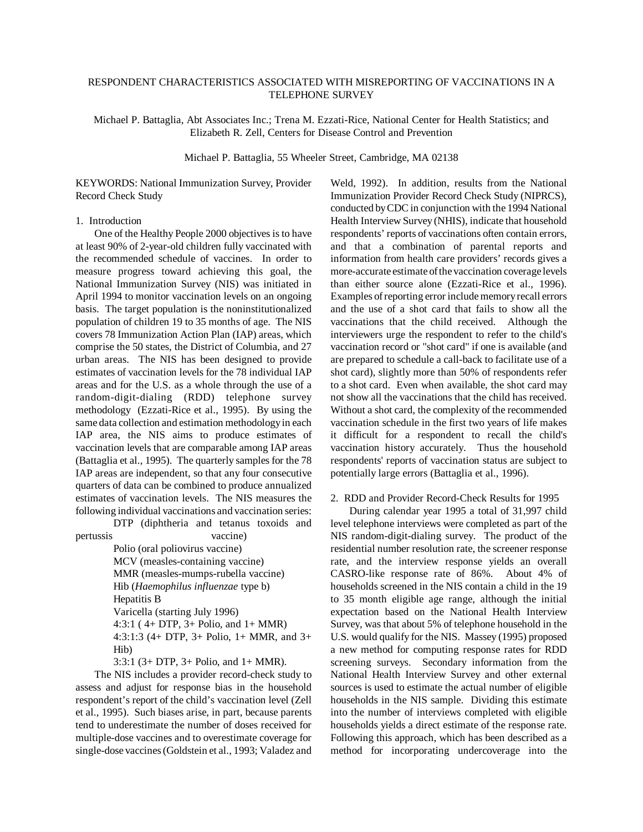# RESPONDENT CHARACTERISTICS ASSOCIATED WITH MISREPORTING OF VACCINATIONS IN A TELEPHONE SURVEY

Michael P. Battaglia, Abt Associates Inc.; Trena M. Ezzati-Rice, National Center for Health Statistics; and Elizabeth R. Zell, Centers for Disease Control and Prevention

Michael P. Battaglia, 55 Wheeler Street, Cambridge, MA 02138

KEYWORDS: National Immunization Survey, Provider Record Check Study

## 1. Introduction

One of the Healthy People 2000 objectives is to have at least 90% of 2-year-old children fully vaccinated with the recommended schedule of vaccines. In order to measure progress toward achieving this goal, the National Immunization Survey (NIS) was initiated in April 1994 to monitor vaccination levels on an ongoing basis. The target population is the noninstitutionalized population of children 19 to 35 months of age. The NIS covers 78 Immunization Action Plan (IAP) areas, which comprise the 50 states, the District of Columbia, and 27 urban areas. The NIS has been designed to provide estimates of vaccination levels for the 78 individual IAP areas and for the U.S. as a whole through the use of a random-digit-dialing (RDD) telephone survey methodology (Ezzati-Rice et al., 1995). By using the same data collection and estimation methodology in each IAP area, the NIS aims to produce estimates of vaccination levels that are comparable among IAP areas (Battaglia et al., 1995). The quarterly samples for the 78 IAP areas are independent, so that any four consecutive quarters of data can be combined to produce annualized estimates of vaccination levels. The NIS measures the following individual vaccinations and vaccination series:

DTP (diphtheria and tetanus toxoids and pertussis vaccine)

> Polio (oral poliovirus vaccine) MCV (measles-containing vaccine) MMR (measles-mumps-rubella vaccine) Hib (*Haemophilus influenzae* type b) Hepatitis B Varicella (starting July 1996) 4:3:1 ( 4+ DTP, 3+ Polio, and 1+ MMR) 4:3:1:3 (4+ DTP, 3+ Polio, 1+ MMR, and 3+ Hib)

3:3:1 (3+ DTP, 3+ Polio, and 1+ MMR).

The NIS includes a provider record-check study to assess and adjust for response bias in the household respondent's report of the child's vaccination level (Zell et al., 1995). Such biases arise, in part, because parents tend to underestimate the number of doses received for multiple-dose vaccines and to overestimate coverage for single-dose vaccines (Goldstein et al., 1993; Valadez and

Weld, 1992). In addition, results from the National Immunization Provider Record Check Study (NIPRCS), conducted by CDC in conjunction with the 1994 National Health Interview Survey (NHIS), indicate that household respondents' reports of vaccinations often contain errors, and that a combination of parental reports and information from health care providers' records gives a more-accurate estimate of the vaccination coverage levels than either source alone (Ezzati-Rice et al., 1996). Examples of reporting error include memory recall errors and the use of a shot card that fails to show all the vaccinations that the child received. Although the interviewers urge the respondent to refer to the child's vaccination record or "shot card" if one is available (and are prepared to schedule a call-back to facilitate use of a shot card), slightly more than 50% of respondents refer to a shot card. Even when available, the shot card may not show all the vaccinations that the child has received. Without a shot card, the complexity of the recommended vaccination schedule in the first two years of life makes it difficult for a respondent to recall the child's vaccination history accurately. Thus the household respondents' reports of vaccination status are subject to potentially large errors (Battaglia et al., 1996).

2. RDD and Provider Record-Check Results for 1995

During calendar year 1995 a total of 31,997 child level telephone interviews were completed as part of the NIS random-digit-dialing survey. The product of the residential number resolution rate, the screener response rate, and the interview response yields an overall CASRO-like response rate of 86%. About 4% of households screened in the NIS contain a child in the 19 to 35 month eligible age range, although the initial expectation based on the National Health Interview Survey, was that about 5% of telephone household in the U.S. would qualify for the NIS. Massey (1995) proposed a new method for computing response rates for RDD screening surveys. Secondary information from the National Health Interview Survey and other external sources is used to estimate the actual number of eligible households in the NIS sample. Dividing this estimate into the number of interviews completed with eligible households yields a direct estimate of the response rate. Following this approach, which has been described as a method for incorporating undercoverage into the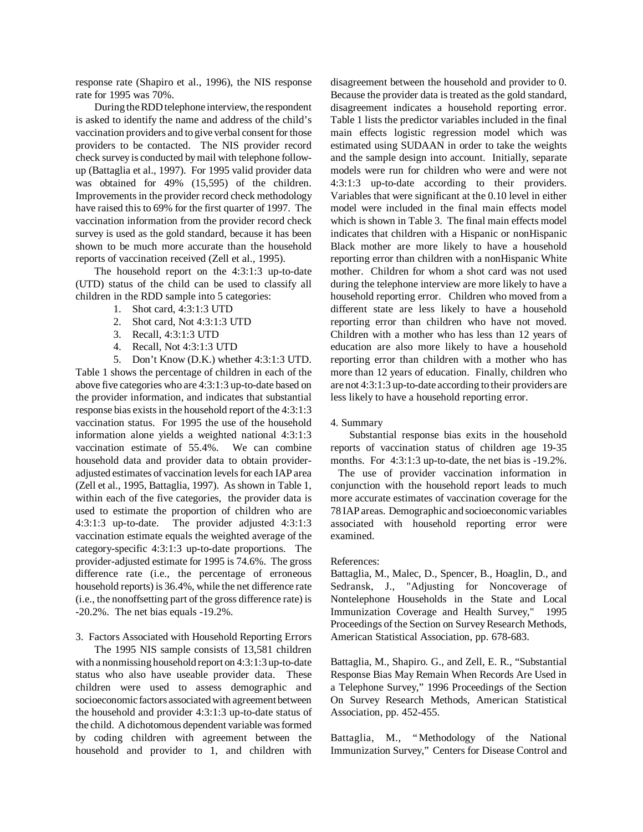response rate (Shapiro et al., 1996), the NIS response rate for 1995 was 70%.

During the RDD telephone interview, the respondent is asked to identify the name and address of the child's vaccination providers and to give verbal consent for those providers to be contacted. The NIS provider record check survey is conducted by mail with telephone followup (Battaglia et al., 1997). For 1995 valid provider data was obtained for 49% (15,595) of the children. Improvements in the provider record check methodology have raised this to 69% for the first quarter of 1997. The vaccination information from the provider record check survey is used as the gold standard, because it has been shown to be much more accurate than the household reports of vaccination received (Zell et al., 1995).

The household report on the 4:3:1:3 up-to-date (UTD) status of the child can be used to classify all children in the RDD sample into 5 categories:

- 1. Shot card, 4:3:1:3 UTD
- 2. Shot card, Not 4:3:1:3 UTD
- 3. Recall, 4:3:1:3 UTD
- 4. Recall, Not 4:3:1:3 UTD
- 5. Don't Know (D.K.) whether 4:3:1:3 UTD.

Table 1 shows the percentage of children in each of the above five categories who are 4:3:1:3 up-to-date based on the provider information, and indicates that substantial response bias exists in the household report of the 4:3:1:3 vaccination status. For 1995 the use of the household information alone yields a weighted national 4:3:1:3 vaccination estimate of 55.4%. We can combine household data and provider data to obtain provideradjusted estimates of vaccination levels for each IAP area (Zell et al., 1995, Battaglia, 1997). As shown in Table 1, within each of the five categories, the provider data is used to estimate the proportion of children who are 4:3:1:3 up-to-date. The provider adjusted 4:3:1:3 vaccination estimate equals the weighted average of the category-specific 4:3:1:3 up-to-date proportions. The provider-adjusted estimate for 1995 is 74.6%. The gross difference rate (i.e., the percentage of erroneous household reports) is 36.4%, while the net difference rate (i.e., the nonoffsetting part of the gross difference rate) is -20.2%. The net bias equals -19.2%.

### 3. Factors Associated with Household Reporting Errors

The 1995 NIS sample consists of 13,581 children with a nonmissing household report on 4:3:1:3 up-to-date status who also have useable provider data. These children were used to assess demographic and socioeconomic factors associated with agreement between the household and provider 4:3:1:3 up-to-date status of the child. A dichotomous dependent variable was formed by coding children with agreement between the household and provider to 1, and children with disagreement between the household and provider to 0. Because the provider data is treated as the gold standard, disagreement indicates a household reporting error. Table 1 lists the predictor variables included in the final main effects logistic regression model which was estimated using SUDAAN in order to take the weights and the sample design into account. Initially, separate models were run for children who were and were not 4:3:1:3 up-to-date according to their providers. Variables that were significant at the 0.10 level in either model were included in the final main effects model which is shown in Table 3. The final main effects model indicates that children with a Hispanic or nonHispanic Black mother are more likely to have a household reporting error than children with a nonHispanic White mother. Children for whom a shot card was not used during the telephone interview are more likely to have a household reporting error. Children who moved from a different state are less likely to have a household reporting error than children who have not moved. Children with a mother who has less than 12 years of education are also more likely to have a household reporting error than children with a mother who has more than 12 years of education. Finally, children who are not 4:3:1:3 up-to-date according to their providers are less likely to have a household reporting error.

#### 4. Summary

Substantial response bias exits in the household reports of vaccination status of children age 19-35 months. For 4:3:1:3 up-to-date, the net bias is -19.2%.

 The use of provider vaccination information in conjunction with the household report leads to much more accurate estimates of vaccination coverage for the 78 IAP areas. Demographic and socioeconomic variables associated with household reporting error were examined.

### References:

Battaglia, M., Malec, D., Spencer, B., Hoaglin, D., and Sedransk, J., "Adjusting for Noncoverage of Nontelephone Households in the State and Local Immunization Coverage and Health Survey," 1995 Proceedings of the Section on Survey Research Methods, American Statistical Association, pp. 678-683.

Battaglia, M., Shapiro. G., and Zell, E. R., "Substantial Response Bias May Remain When Records Are Used in a Telephone Survey," 1996 Proceedings of the Section On Survey Research Methods, American Statistical Association, pp. 452-455.

Battaglia, M., "Methodology of the National Immunization Survey," Centers for Disease Control and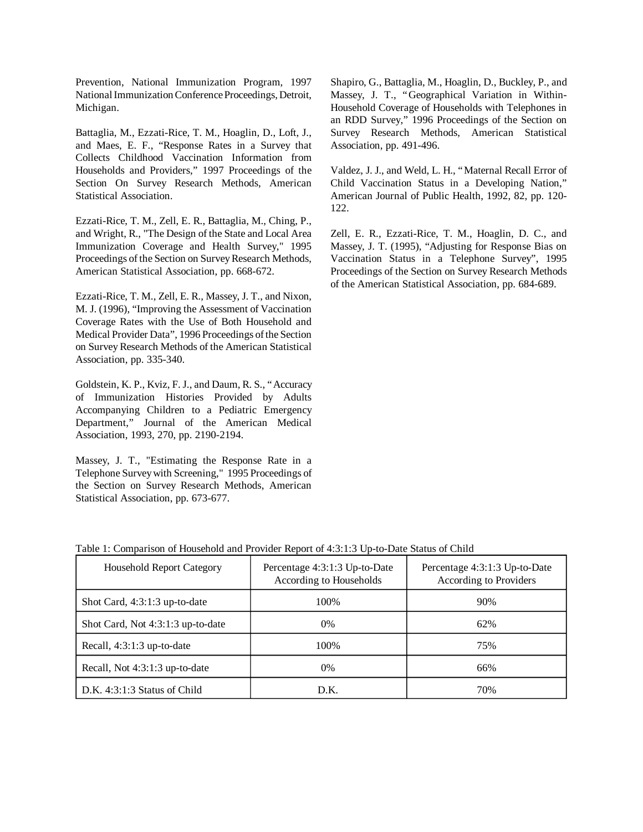Prevention, National Immunization Program, 1997 National Immunization Conference Proceedings, Detroit, Michigan.

Battaglia, M., Ezzati-Rice, T. M., Hoaglin, D., Loft, J., and Maes, E. F., "Response Rates in a Survey that Collects Childhood Vaccination Information from Households and Providers," 1997 Proceedings of the Section On Survey Research Methods, American Statistical Association.

Ezzati-Rice, T. M., Zell, E. R., Battaglia, M., Ching, P., and Wright, R., "The Design of the State and Local Area Immunization Coverage and Health Survey," 1995 Proceedings of the Section on Survey Research Methods, American Statistical Association, pp. 668-672.

Ezzati-Rice, T. M., Zell, E. R., Massey, J. T., and Nixon, M. J. (1996), "Improving the Assessment of Vaccination Coverage Rates with the Use of Both Household and Medical Provider Data", 1996 Proceedings of the Section on Survey Research Methods of the American Statistical Association, pp. 335-340.

Goldstein, K. P., Kviz, F. J., and Daum, R. S., "Accuracy of Immunization Histories Provided by Adults Accompanying Children to a Pediatric Emergency Department," Journal of the American Medical Association, 1993, 270, pp. 2190-2194.

Massey, J. T., "Estimating the Response Rate in a Telephone Survey with Screening," 1995 Proceedings of the Section on Survey Research Methods, American Statistical Association, pp. 673-677.

Shapiro, G., Battaglia, M., Hoaglin, D., Buckley, P., and Massey, J. T., "Geographical Variation in Within-Household Coverage of Households with Telephones in an RDD Survey," 1996 Proceedings of the Section on Survey Research Methods, American Statistical Association, pp. 491-496.

Valdez, J. J., and Weld, L. H., "Maternal Recall Error of Child Vaccination Status in a Developing Nation," American Journal of Public Health, 1992, 82, pp. 120 122.

Zell, E. R., Ezzati-Rice, T. M., Hoaglin, D. C., and Massey, J. T. (1995), "Adjusting for Response Bias on Vaccination Status in a Telephone Survey", 1995 Proceedings of the Section on Survey Research Methods of the American Statistical Association, pp. 684-689.

| <b>Household Report Category</b>  | Percentage 4:3:1:3 Up-to-Date<br>According to Households | Percentage 4:3:1:3 Up-to-Date<br>According to Providers |
|-----------------------------------|----------------------------------------------------------|---------------------------------------------------------|
| Shot Card, $4:3:1:3$ up-to-date   | 100%                                                     | 90%                                                     |
| Shot Card, Not 4:3:1:3 up-to-date | $0\%$                                                    | 62%                                                     |
| Recall, $4:3:1:3$ up-to-date      | 100\%                                                    | 75%                                                     |
| Recall, Not 4:3:1:3 up-to-date    | $0\%$                                                    | 66%                                                     |
| $D.K. 4:3:1:3$ Status of Child    | D.K.                                                     | 70%                                                     |

Table 1: Comparison of Household and Provider Report of 4:3:1:3 Up-to-Date Status of Child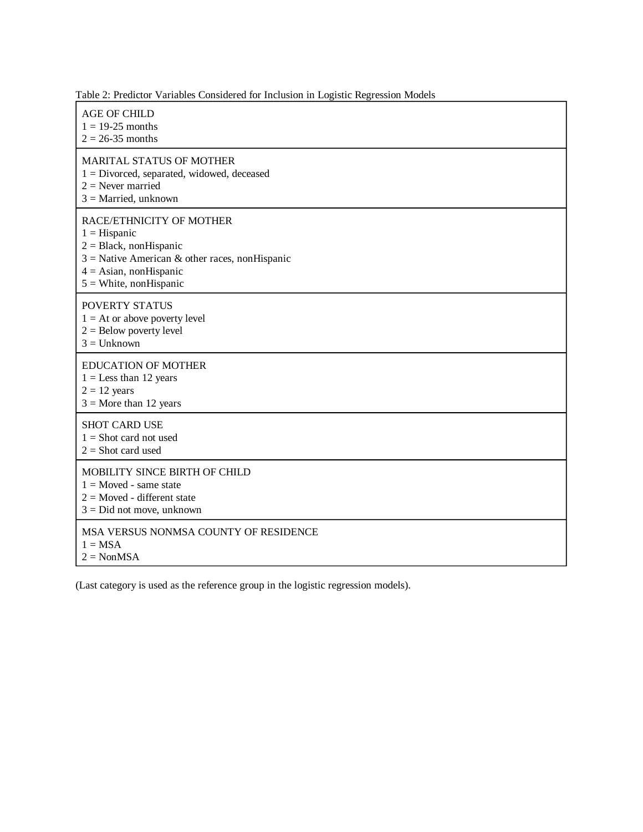Table 2: Predictor Variables Considered for Inclusion in Logistic Regression Models

| <b>AGE OF CHILD</b><br>$1 = 19-25$ months<br>$2 = 26-35$ months                                                                                                                    |
|------------------------------------------------------------------------------------------------------------------------------------------------------------------------------------|
| MARITAL STATUS OF MOTHER<br>$1 = Divored$ , separated, widowed, deceased<br>$2$ = Never married<br>$3$ = Married, unknown                                                          |
| RACE/ETHNICITY OF MOTHER<br>$1 =$ Hispanic<br>$2 = Black, nonHispanic$<br>$3$ = Native American & other races, nonHispanic<br>$4 =$ Asian, nonHispanic<br>$5 =$ White, nonHispanic |
| POVERTY STATUS<br>$1 = At$ or above poverty level<br>$2 =$ Below poverty level<br>$3 =$ Unknown                                                                                    |
| <b>EDUCATION OF MOTHER</b><br>$1 =$ Less than 12 years<br>$2 = 12$ years<br>$3$ = More than 12 years                                                                               |
| <b>SHOT CARD USE</b><br>$1 =$ Shot card not used<br>$2 =$ Shot card used                                                                                                           |
| MOBILITY SINCE BIRTH OF CHILD<br>$1 = Moved - same state$<br>$2 = Moved - different state$<br>$3 = Did$ not move, unknown                                                          |
| MSA VERSUS NONMSA COUNTY OF RESIDENCE<br>$1 = MSA$<br>$2 = \text{NonMSA}$                                                                                                          |

(Last category is used as the reference group in the logistic regression models).